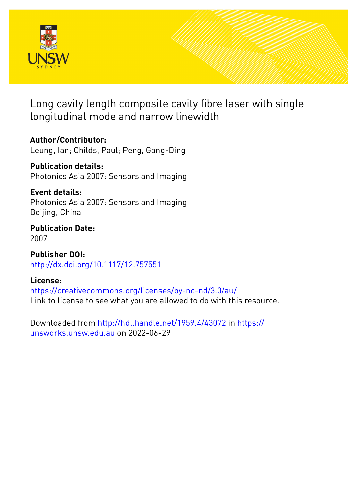

Long cavity length composite cavity fibre laser with single longitudinal mode and narrow linewidth

# **Author/Contributor:**

Leung, Ian; Childs, Paul; Peng, Gang-Ding

## **Publication details:** Photonics Asia 2007: Sensors and Imaging

**Event details:** Photonics Asia 2007: Sensors and Imaging Beijing, China

## **Publication Date:** 2007

**Publisher DOI:** [http://dx.doi.org/10.1117/12.757551](http://dx.doi.org/http://dx.doi.org/10.1117/12.757551)

# **License:**

<https://creativecommons.org/licenses/by-nc-nd/3.0/au/> Link to license to see what you are allowed to do with this resource.

Downloaded from <http://hdl.handle.net/1959.4/43072> in [https://](https://unsworks.unsw.edu.au) [unsworks.unsw.edu.au](https://unsworks.unsw.edu.au) on 2022-06-29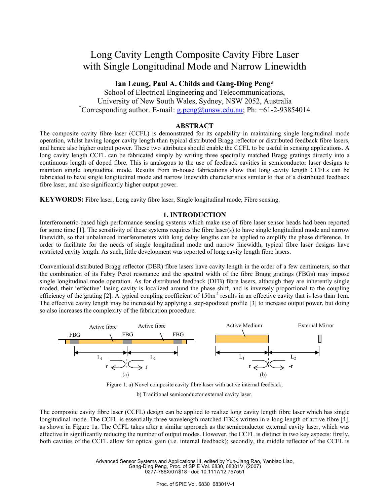## Long Cavity Length Composite Cavity Fibre Laser with Single Longitudinal Mode and Narrow Linewidth

## **Ian Leung, Paul A. Childs and Gang-Ding Peng\***

School of Electrical Engineering and Telecommunications, University of New South Wales, Sydney, NSW 2052, Australia \* \*Corresponding author. E-mail:  $g$ .peng@unsw.edu.au; Ph: +61-2-93854014

## **ABSTRACT**

The composite cavity fibre laser (CCFL) is demonstrated for its capability in maintaining single longitudinal mode operation, whilst having longer cavity length than typical distributed Bragg reflector or distributed feedback fibre lasers, and hence also higher output power. These two attributes should enable the CCFL to be useful in sensing applications. A long cavity length CCFL can be fabricated simply by writing three spectrally matched Bragg gratings directly into a continuous length of doped fibre. This is analogous to the use of feedback cavities in semiconductor laser designs to maintain single longitudinal mode. Results from in-house fabrications show that long cavity length CCFLs can be fabricated to have single longitudinal mode and narrow linewidth characteristics similar to that of a distributed feedback fibre laser, and also significantly higher output power.

**KEYWORDS:** Fibre laser, Long cavity fibre laser, Single longitudinal mode, Fibre sensing.

### **1. INTRODUCTION**

Interferometric-based high performance sensing systems which make use of fibre laser sensor heads had been reported for some time [1]. The sensitivity of these systems requires the fibre laser(s) to have single longitudinal mode and narrow linewidth, so that unbalanced interferometers with long delay lengths can be applied to amplify the phase difference. In order to facilitate for the needs of single longitudinal mode and narrow linewidth, typical fibre laser designs have restricted cavity length. As such, little development was reported of long cavity length fibre lasers.

Conventional distributed Bragg reflector (DBR) fibre lasers have cavity length in the order of a few centimeters, so that the combination of its Fabry Perot resonance and the spectral width of the fibre Bragg gratings (FBGs) may impose single longitudinal mode operation. As for distributed feedback (DFB) fibre lasers, although they are inherently single moded, their 'effective' lasing cavity is localized around the phase shift, and is inversely proportional to the coupling efficiency of the grating  $[2]$ . A typical coupling coefficient of  $150m^{-1}$  results in an effective cavity that is less than 1cm. The effective cavity length may be increased by applying a step-apodized profile [3] to increase output power, but doing so also increases the complexity of the fabrication procedure.



Figure 1. a) Novel composite cavity fibre laser with active internal feedback;

b) Traditional semiconductor external cavity laser.

The composite cavity fibre laser (CCFL) design can be applied to realize long cavity length fibre laser which has single longitudinal mode. The CCFL is essentially three wavelength matched FBGs written in a long length of active fibre [4], as shown in Figure 1a. The CCFL takes after a similar approach as the semiconductor external cavity laser, which was effective in significantly reducing the number of output modes. However, the CCFL is distinct in two key aspects: firstly, both cavities of the CCFL allow for optical gain (i.e. internal feedback); secondly, the middle reflector of the CCFL is

> Advanced Sensor Systems and Applications III, edited by Yun-Jiang Rao, Yanbiao Liao, Gang-Ding Peng, Proc. of SPIE Vol. 6830, 68301V, (2007) 0277-786X/07/\$18 · doi: 10.1117/12.757551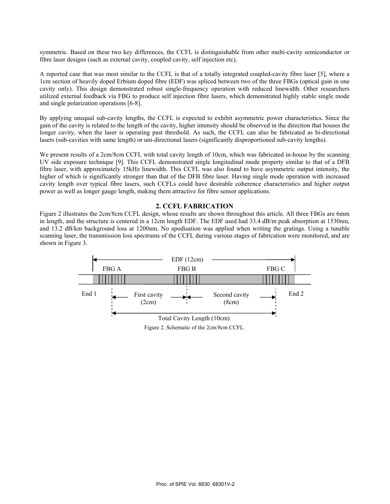symmetric. Based on these two key differences, the CCFL is distinguishable from other multi-cavity semiconductor or fibre laser designs (such as external cavity, coupled cavity, self injection etc).

A reported case that was most similar to the CCFL is that of a totally integrated coupled-cavity fibre laser [5], where a 1cm section of heavily doped Erbium doped fibre (EDF) was spliced between two of the three FBGs (optical gain in one cavity only). This design demonstrated robust single-frequency operation with reduced linewidth. Other researchers utilized external feedback via FBG to produce self injection fibre lasers, which demonstrated highly stable single mode and single polarization operations [6-8].

By applying unequal sub-cavity lengths, the CCFL is expected to exhibit asymmetric power characteristics. Since the gain of the cavity is related to the length of the cavity, higher intensity should be observed in the direction that houses the longer cavity, when the laser is operating past threshold. As such, the CCFL can also be fabricated as bi-directional lasers (sub-cavities with same length) or uni-directional lasers (significantly disproportioned sub-cavity lengths).

We present results of a 2cm/8cm CCFL with total cavity length of 10cm, which was fabricated in-house by the scanning UV side exposure technique [9]. This CCFL demonstrated single longitudinal mode property similar to that of a DFB fibre laser, with approximately 15kHz linewidth. This CCFL was also found to have asymmetric output intensity, the higher of which is significantly stronger than that of the DFB fibre laser. Having single mode operation with increased cavity length over typical fibre lasers, such CCFLs could have desirable coherence characteristics and higher output power as well as longer gauge length, making them attractive for fibre sensor applications.

### **2. CCFL FABRICATION**

Figure 2 illustrates the 2cm/8cm CCFL design, whose results are shown throughout this article. All three FBGs are 6mm in length, and the structure is centered in a 12cm length EDF. The EDF used had 33.4 dB/m peak absorption at 1530nm, and 13.2 dB/km background loss at 1200nm. No apodisation was applied when writing the gratings. Using a tunable scanning laser, the transmission loss spectrums of the CCFL during various stages of fabrication were monitored, and are shown in Figure 3.

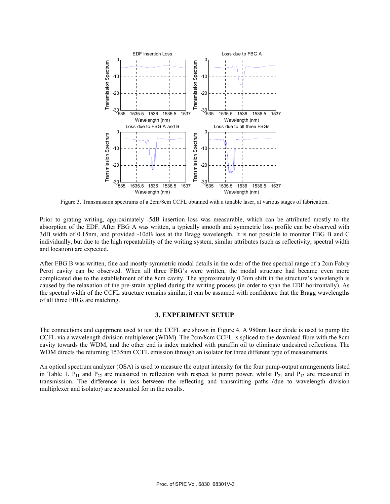

Figure 3. Transmission spectrums of a 2cm/8cm CCFL obtained with a tunable laser, at various stages of fabrication.

Prior to grating writing, approximately -5dB insertion loss was measurable, which can be attributed mostly to the absorption of the EDF. After FBG A was written, a typically smooth and symmetric loss profile can be observed with 3dB width of 0.15nm, and provided -10dB loss at the Bragg wavelength. It is not possible to monitor FBG B and C individually, but due to the high repeatability of the writing system, similar attributes (such as reflectivity, spectral width and location) are expected.

After FBG B was written, fine and mostly symmetric modal details in the order of the free spectral range of a 2cm Fabry Perot cavity can be observed. When all three FBG's were written, the modal structure had became even more complicated due to the establishment of the 8cm cavity. The approximately 0.3nm shift in the structure's wavelength is caused by the relaxation of the pre-strain applied during the writing process (in order to span the EDF horizontally). As the spectral width of the CCFL structure remains similar, it can be assumed with confidence that the Bragg wavelengths of all three FBGs are matching.

## **3. EXPERIMENT SETUP**

The connections and equipment used to test the CCFL are shown in Figure 4. A 980nm laser diode is used to pump the CCFL via a wavelength division multiplexer (WDM). The 2cm/8cm CCFL is spliced to the downlead fibre with the 8cm cavity towards the WDM, and the other end is index matched with paraffin oil to eliminate undesired reflections. The WDM directs the returning 1535nm CCFL emission through an isolator for three different type of measurements.

An optical spectrum analyzer (OSA) is used to measure the output intensity for the four pump-output arrangements listed in Table 1.  $P_{11}$  and  $P_{22}$  are measured in reflection with respect to pump power, whilst  $P_{21}$  and  $P_{12}$  are measured in transmission. The difference in loss between the reflecting and transmitting paths (due to wavelength division multiplexer and isolator) are accounted for in the results.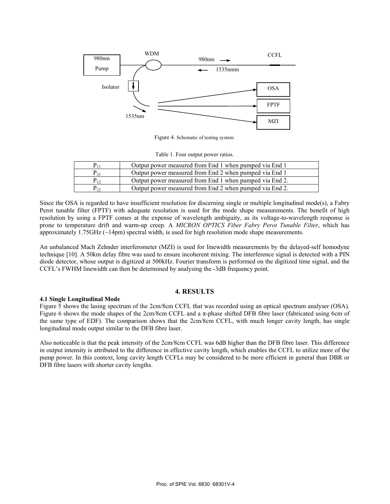

Figure 4. Schematic of testing system.

| Table 1. Four output power ratios. |  |  |  |  |
|------------------------------------|--|--|--|--|
|------------------------------------|--|--|--|--|

| $P_{\perp}$ | Output power measured from End 1 when pumped via End 1  |
|-------------|---------------------------------------------------------|
| $P_{21}$    | Output power measured from End 2 when pumped via End 1  |
| $P_{12}$    | Output power measured from End 1 when pumped via End 2. |
| $P_{22}$    | Output power measured from End 2 when pumped via End 2. |

Since the OSA is regarded to have insufficient resolution for discerning single or multiple longitudinal mode(s), a Fabry Perot tunable filter (FPTF) with adequate resolution is used for the mode shape measurements. The benefit of high resolution by using a FPTF comes at the expense of wavelength ambiguity, as its voltage-to-wavelength response is prone to temperature drift and warm-up creep. A *MICRON OPTICS Fiber Fabry Perot Tunable Filter*, which has approximately 1.75GHz (~14pm) spectral width, is used for high resolution mode shape measurements.

An unbalanced Mach Zehnder interferometer (MZI) is used for linewidth measurements by the delayed-self homodyne technique [10]. A 50km delay fibre was used to ensure incoherent mixing. The interference signal is detected with a PIN diode detector, whose output is digitized at 500kHz. Fourier transform is performed on the digitized time signal, and the CCFL's FWHM linewidth can then be determined by analysing the -3dB frequency point.

## **4. RESULTS**

#### **4.1 Single Longitudinal Mode**

Figure 5 shows the lasing spectrum of the 2cm/8cm CCFL that was recorded using an optical spectrum analyser (OSA). Figure 6 shows the mode shapes of the 2cm/8cm CCFL and a π-phase shifted DFB fibre laser (fabricated using 6cm of the same type of EDF). The comparison shows that the 2cm/8cm CCFL, with much longer cavity length, has single longitudinal mode output similar to the DFB fibre laser.

Also noticeable is that the peak intensity of the 2cm/8cm CCFL was 6dB higher than the DFB fibre laser. This difference in output intensity is attributed to the difference in effective cavity length, which enables the CCFL to utilize more of the pump power. In this context, long cavity length CCFLs may be considered to be more efficient in general than DBR or DFB fibre lasers with shorter cavity lengths.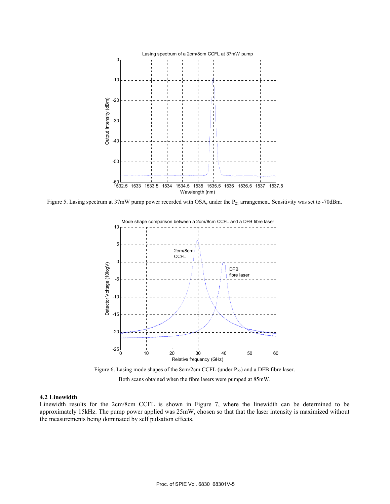

Figure 5. Lasing spectrum at  $37 \text{mW}$  pump power recorded with OSA, under the  $P_{21}$  arrangement. Sensitivity was set to -70dBm.



Figure 6. Lasing mode shapes of the 8cm/2cm CCFL (under P<sub>22</sub>) and a DFB fibre laser.

Both scans obtained when the fibre lasers were pumped at 85mW.

#### **4.2 Linewidth**

Linewidth results for the 2cm/8cm CCFL is shown in Figure 7, where the linewidth can be determined to be approximately 15kHz. The pump power applied was 25mW, chosen so that that the laser intensity is maximized without the measurements being dominated by self pulsation effects.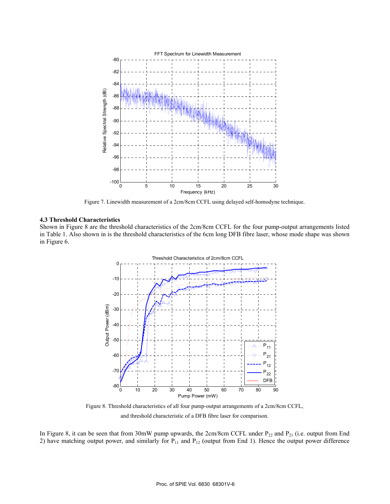

Figure 7. Linewidth measurement of a 2cm/8cm CCFL using delayed self-homodyne technique.

#### **4.3 Threshold Characteristics**

Shown in Figure 8 are the threshold characteristics of the 2cm/8cm CCFL for the four pump-output arrangements listed in Table 1. Also shown in is the threshold characteristics of the 6cm long DFB fibre laser, whose mode shape was shown in Figure 6.



Figure 8. Threshold characteristics of all four pump-output arrangements of a 2cm/8cm CCFL, and threshold characteristic of a DFB fibre laser for comparison.

In Figure 8, it can be seen that from 30mW pump upwards, the 2cm/8cm CCFL under  $P_{22}$  and  $P_{21}$  (i.e. output from End 2) have matching output power, and similarly for  $P_{11}$  and  $P_{12}$  (output from End 1). Hence the output power difference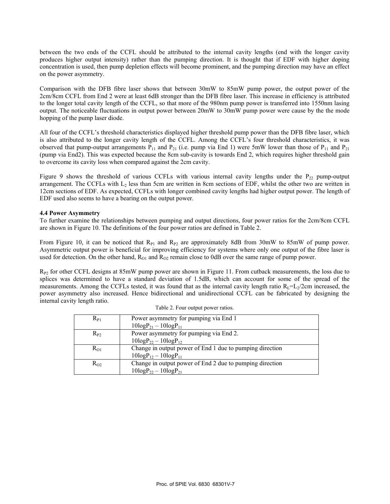between the two ends of the CCFL should be attributed to the internal cavity lengths (end with the longer cavity produces higher output intensity) rather than the pumping direction. It is thought that if EDF with higher doping concentration is used, then pump depletion effects will become prominent, and the pumping direction may have an effect on the power asymmetry.

Comparison with the DFB fibre laser shows that between 30mW to 85mW pump power, the output power of the 2cm/8cm CCFL from End 2 were at least 6dB stronger than the DFB fibre laser. This increase in efficiency is attributed to the longer total cavity length of the CCFL, so that more of the 980nm pump power is transferred into 1550nm lasing output. The noticeable fluctuations in output power between 20mW to 30mW pump power were cause by the the mode hopping of the pump laser diode.

All four of the CCFL's threshold characteristics displayed higher threshold pump power than the DFB fibre laser, which is also attributed to the longer cavity length of the CCFL. Among the CCFL's four threshold characteristics, it was observed that pump-output arrangements  $P_{11}$  and  $P_{21}$  (i.e. pump via End 1) were 5mW lower than those of  $P_{11}$  and  $P_{21}$ (pump via End2). This was expected because the 8cm sub-cavity is towards End 2, which requires higher threshold gain to overcome its cavity loss when compared against the 2cm cavity.

Figure 9 shows the threshold of various CCFLs with various internal cavity lengths under the  $P_{22}$  pump-output arrangement. The CCFLs with L<sub>2</sub> less than 5cm are written in 8cm sections of EDF, whilst the other two are written in 12cm sections of EDF. As expected, CCFLs with longer combined cavity lengths had higher output power. The length of EDF used also seems to have a bearing on the output power.

### **4.4 Power Asymmetry**

To further examine the relationships between pumping and output directions, four power ratios for the 2cm/8cm CCFL are shown in Figure 10. The definitions of the four power ratios are defined in Table 2.

From Figure 10, it can be noticed that  $R_{P1}$  and  $R_{P2}$  are approximately 8dB from 30mW to 85mW of pump power. Asymmetric output power is beneficial for improving efficiency for systems where only one output of the fibre laser is used for detection. On the other hand,  $R_{O1}$  and  $R_{O2}$  remain close to 0dB over the same range of pump power.

RP2 for other CCFL designs at 85mW pump power are shown in Figure 11. From cutback measurements, the loss due to splices was determined to have a standard deviation of 1.5dB, which can account for some of the spread of the measurements. Among the CCFLs tested, it was found that as the internal cavity length ratio  $R_L = L_2/2$ cm increased, the power asymmetry also increased. Hence bidirectional and unidirectional CCFL can be fabricated by designing the internal cavity length ratio.

| $R_{P1}$ | Power asymmetry for pumping via End 1                    |
|----------|----------------------------------------------------------|
|          | $10\log P_{21} - 10\log P_{11}$                          |
| $R_{P2}$ | Power asymmetry for pumping via End 2.                   |
|          | $10\log P_{22} - 10\log P_{12}$                          |
| $R_{O1}$ | Change in output power of End 1 due to pumping direction |
|          | $10\log P_{12} - 10\log P_{11}$                          |
| $R_{O2}$ | Change in output power of End 2 due to pumping direction |
|          | $10\log P_{22} - 10\log P_{21}$                          |

Table 2. Four output power ratios.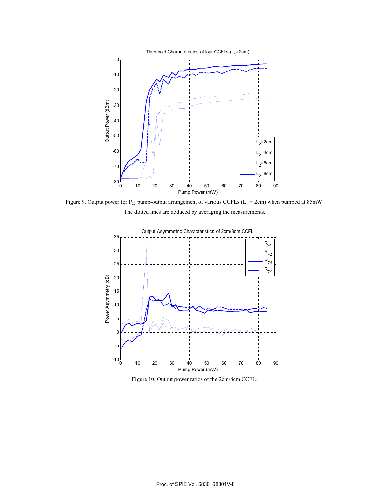

Figure 9. Output power for P<sub>22</sub> pump-output arrangement of various CCFLs ( $L_1 = 2$ cm) when pumped at 85mW. The dotted lines are deduced by averaging the measurements.



Figure 10. Output power ratios of the 2cm/8cm CCFL.